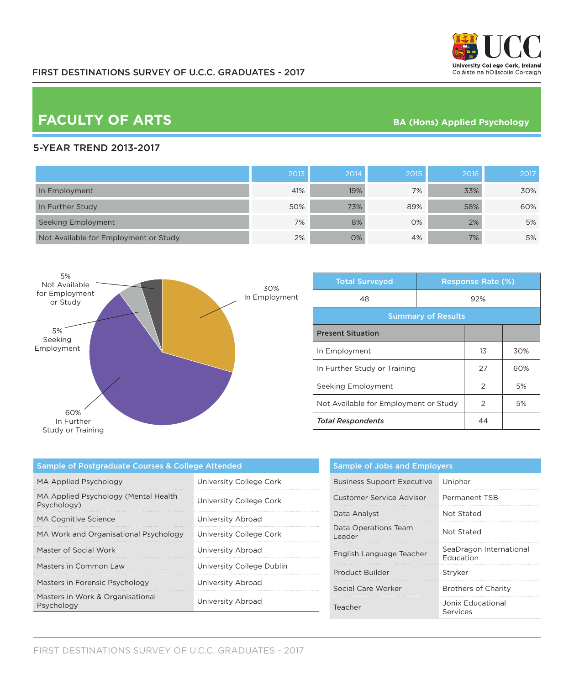

# **FACULTY OF ARTS BA (Hons) Applied Psychology**

### 5-YEAR TREND 2013-2017

|                                       | 2013 | 2014 | 2015 | 2016 | 2017 |
|---------------------------------------|------|------|------|------|------|
| In Employment                         | 41%  | 19%  | 7%   | 33%  | 30%  |
| In Further Study                      | 50%  | 73%  | 89%  | 58%  | 60%  |
| Seeking Employment                    | 7%   | 8%   | 0%   | 2%   | 5%   |
| Not Available for Employment or Study | 2%   | 0%   | 4%   | 7%   | 5%   |



| <b>Total Surveyed</b>                 |  | <b>Response Rate (%)</b> |     |  |
|---------------------------------------|--|--------------------------|-----|--|
| 48                                    |  | 92%                      |     |  |
| <b>Summary of Results</b>             |  |                          |     |  |
| <b>Present Situation</b>              |  |                          |     |  |
| In Employment                         |  | 13                       | 30% |  |
| In Further Study or Training          |  | 27                       | 60% |  |
| Seeking Employment                    |  | 2                        | 5%  |  |
| Not Available for Employment or Study |  | $\mathcal{P}$            | 5%  |  |
| <b>Total Respondents</b>              |  | 44                       |     |  |

| Sample of Postgraduate Courses & College Attended   |                           |  |
|-----------------------------------------------------|---------------------------|--|
| MA Applied Psychology                               | University College Cork   |  |
| MA Applied Psychology (Mental Health<br>Psychology) | University College Cork   |  |
| <b>MA Cognitive Science</b>                         | University Abroad         |  |
| MA Work and Organisational Psychology               | University College Cork   |  |
| Master of Social Work                               | University Abroad         |  |
| Masters in Common Law                               | University College Dublin |  |
| Masters in Forensic Psychology                      | University Abroad         |  |
| Masters in Work & Organisational<br>Psychology      | University Abroad         |  |

| <b>Sample of Jobs and Employers</b> |                                             |  |  |  |
|-------------------------------------|---------------------------------------------|--|--|--|
| <b>Business Support Executive</b>   | Uniphar                                     |  |  |  |
| Customer Service Advisor            | Permanent TSB                               |  |  |  |
| Data Analyst                        | Not Stated                                  |  |  |  |
| Data Operations Team<br>I eader     | Not Stated                                  |  |  |  |
| English Language Teacher            | SeaDragon International<br><b>Education</b> |  |  |  |
| Product Builder                     | Stryker                                     |  |  |  |
| Social Care Worker                  | <b>Brothers of Charity</b>                  |  |  |  |
| Teacher                             | Jonix Educational<br>Services               |  |  |  |